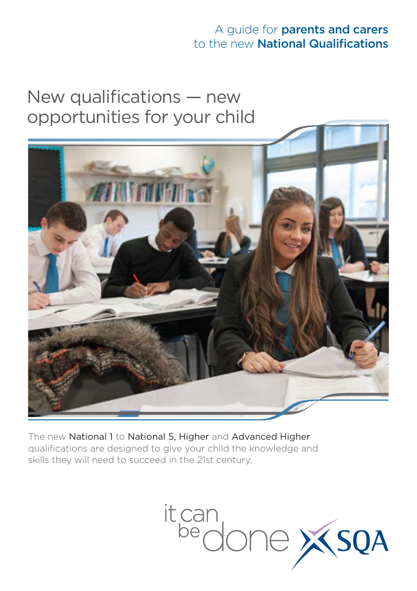## A guide for parents and carers to the new National Qualifications

# New qualifications — new opportunities for your child



The new National 1 to National 5, Higher and Advanced Higher qualifications are designed to give your child the knowledge and skills they will need to succeed in the 21st century.

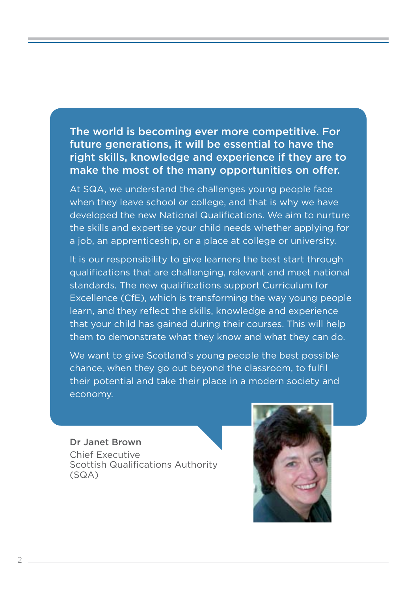The world is becoming ever more competitive. For future generations, it will be essential to have the right skills, knowledge and experience if they are to make the most of the many opportunities on offer.

At SQA, we understand the challenges young people face when they leave school or college, and that is why we have developed the new National Qualifications. We aim to nurture the skills and expertise your child needs whether applying for a job, an apprenticeship, or a place at college or university.

It is our responsibility to give learners the best start through qualifications that are challenging, relevant and meet national standards. The new qualifications support Curriculum for Excellence (CfE), which is transforming the way young people learn, and they reflect the skills, knowledge and experience that your child has gained during their courses. This will help them to demonstrate what they know and what they can do.

We want to give Scotland's young people the best possible chance, when they go out beyond the classroom, to fulfil their potential and take their place in a modern society and economy.

#### Dr Janet Brown

Chief Executive Scottish Qualifications Authority (SQA)

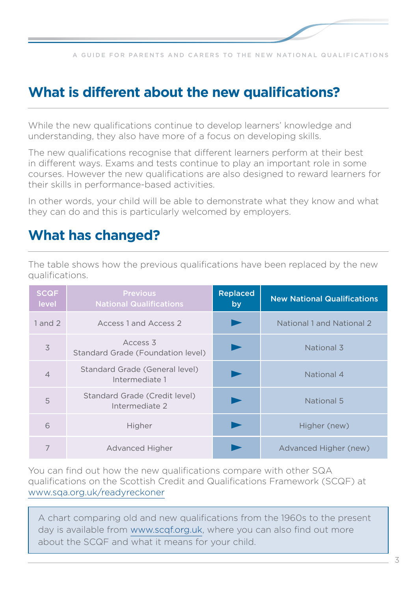

## **What is different about the new qualifications?**

While the new qualifications continue to develop learners' knowledge and understanding, they also have more of a focus on developing skills.

The new qualifications recognise that different learners perform at their best in different ways. Exams and tests continue to play an important role in some courses. However the new qualifications are also designed to reward learners for their skills in performance-based activities.

In other words, your child will be able to demonstrate what they know and what they can do and this is particularly welcomed by employers.

## **What has changed?**

The table shows how the previous qualifications have been replaced by the new qualifications.

| <b>SCQF</b><br>level | <b>Previous</b><br><b>National Qualifications</b> | <b>Replaced</b><br>by | <b>New National Qualifications</b> |
|----------------------|---------------------------------------------------|-----------------------|------------------------------------|
| $1$ and $2$          | Access 1 and Access 2                             |                       | National 1 and National 2          |
| 3                    | Access 3<br>Standard Grade (Foundation level)     |                       | National 3                         |
| $\overline{4}$       | Standard Grade (General level)<br>Intermediate 1  |                       | National 4                         |
| 5                    | Standard Grade (Credit level)<br>Intermediate 2   |                       | National 5                         |
| 6                    | Higher                                            |                       | Higher (new)                       |
| 7                    | Advanced Higher                                   |                       | Advanced Higher (new)              |

You can find out how the new qualifications compare with other SQA qualifications on the Scottish Credit and Qualifications Framework (SCQF) at www.sqa.org.uk/readyreckoner

A chart comparing old and new qualifications from the 1960s to the present day is available from www.scqf.org.uk, where you can also find out more about the SCQF and what it means for your child.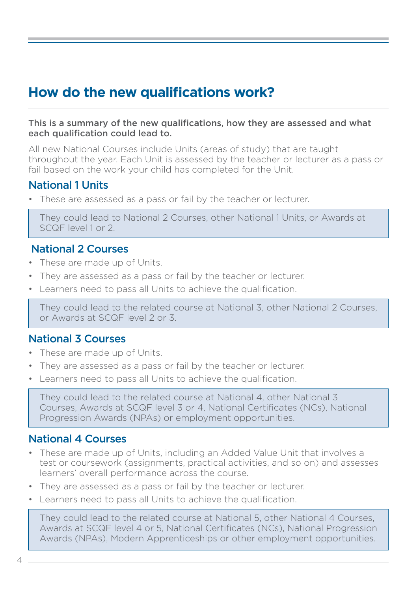## **How do the new qualifications work?**

#### This is a summary of the new qualifications, how they are assessed and what each qualification could lead to.

All new National Courses include Units (areas of study) that are taught throughout the year. Each Unit is assessed by the teacher or lecturer as a pass or fail based on the work your child has completed for the Unit.

### National 1 Units

These are assessed as a pass or fail by the teacher or lecturer.

They could lead to National 2 Courses, other National 1 Units, or Awards at SCQF level 1 or 2.

### National 2 Courses

- These are made up of Units.
- They are assessed as a pass or fail by the teacher or lecturer.
- Learners need to pass all Units to achieve the qualification.

They could lead to the related course at National 3, other National 2 Courses, or Awards at SCQF level 2 or 3.

### National 3 Courses

- These are made up of Units.
- They are assessed as a pass or fail by the teacher or lecturer.
- Learners need to pass all Units to achieve the qualification.

They could lead to the related course at National 4, other National 3 Courses, Awards at SCQF level 3 or 4, National Certificates (NCs), National Progression Awards (NPAs) or employment opportunities.

### National 4 Courses

- These are made up of Units, including an Added Value Unit that involves a test or coursework (assignments, practical activities, and so on) and assesses learners' overall performance across the course.
- They are assessed as a pass or fail by the teacher or lecturer.
- Learners need to pass all Units to achieve the qualification.

They could lead to the related course at National 5, other National 4 Courses, Awards at SCQF level 4 or 5, National Certificates (NCs), National Progression Awards (NPAs), Modern Apprenticeships or other employment opportunities.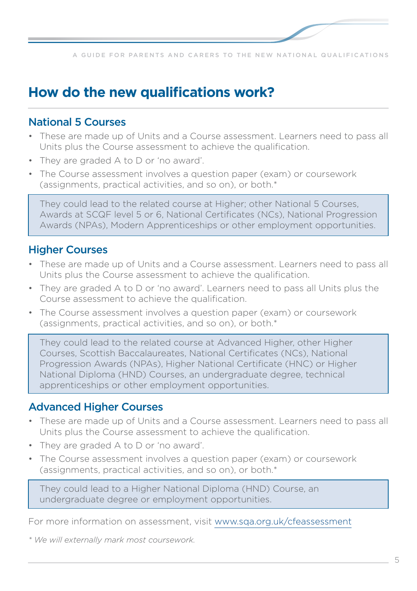## **How do the new qualifications work?**

### National 5 Courses

- These are made up of Units and a Course assessment. Learners need to pass all Units plus the Course assessment to achieve the qualification.
- They are graded A to D or 'no award'.
- The Course assessment involves a question paper (exam) or coursework (assignments, practical activities, and so on), or both.\*

They could lead to the related course at Higher; other National 5 Courses, Awards at SCQF level 5 or 6, National Certificates (NCs), National Progression Awards (NPAs), Modern Apprenticeships or other employment opportunities.

### Higher Courses

- These are made up of Units and a Course assessment. Learners need to pass all Units plus the Course assessment to achieve the qualification.
- They are graded A to D or 'no award'. Learners need to pass all Units plus the Course assessment to achieve the qualification.
- The Course assessment involves a question paper (exam) or coursework (assignments, practical activities, and so on), or both.\*

They could lead to the related course at Advanced Higher, other Higher Courses, Scottish Baccalaureates, National Certificates (NCs), National Progression Awards (NPAs), Higher National Certificate (HNC) or Higher National Diploma (HND) Courses, an undergraduate degree, technical apprenticeships or other employment opportunities.

### Advanced Higher Courses

- These are made up of Units and a Course assessment. Learners need to pass all Units plus the Course assessment to achieve the qualification.
- They are graded A to D or 'no award'.
- The Course assessment involves a question paper (exam) or coursework (assignments, practical activities, and so on), or both.\*

They could lead to a Higher National Diploma (HND) Course, an undergraduate degree or employment opportunities.

For more information on assessment, visit www.sqa.org.uk/cfeassessment

*\* We will externally mark most coursework.*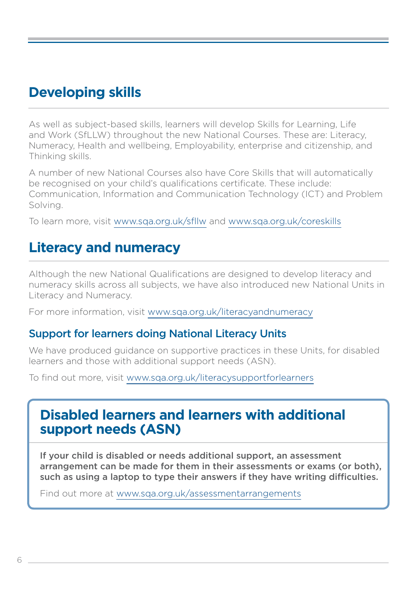## **Developing skills**

As well as subject-based skills, learners will develop Skills for Learning, Life and Work (SfLLW) throughout the new National Courses. These are: Literacy, Numeracy, Health and wellbeing, Employability, enterprise and citizenship, and Thinking skills.

A number of new National Courses also have Core Skills that will automatically be recognised on your child's qualifications certificate. These include: Communication, Information and Communication Technology (ICT) and Problem Solving.

To learn more, visit www.sqa.org.uk/sfllw and www.sqa.org.uk/coreskills

## **Literacy and numeracy**

Although the new National Qualifications are designed to develop literacy and numeracy skills across all subjects, we have also introduced new National Units in Literacy and Numeracy.

For more information, visit www.sqa.org.uk/literacyandnumeracy

### Support for learners doing National Literacy Units

We have produced guidance on supportive practices in these Units, for disabled learners and those with additional support needs (ASN).

To find out more, visit www.sqa.org.uk/literacysupportforlearners

## **Disabled learners and learners with additional support needs (ASN)**

If your child is disabled or needs additional support, an assessment arrangement can be made for them in their assessments or exams (or both), such as using a laptop to type their answers if they have writing difficulties.

Find out more at www.sqa.org.uk/assessmentarrangements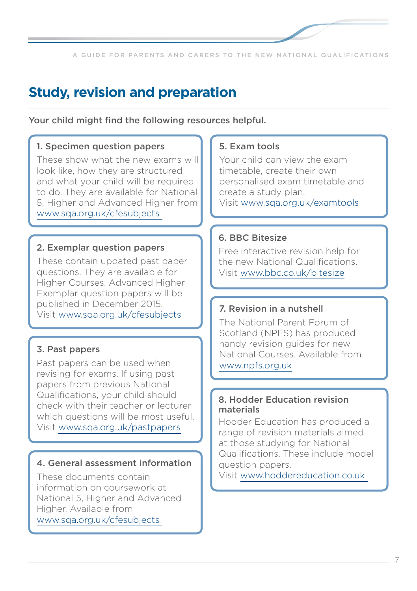## **Study, revision and preparation**

Your child might find the following resources helpful.

#### 1. Specimen question papers

These show what the new exams will look like, how they are structured and what your child will be required to do. They are available for National 5, Higher and Advanced Higher from [www.sqa.org.uk/cfesubjects](www.sqa.org.uk/browsecfesubjects)

#### 2. Exemplar question papers

These contain updated past paper questions. They are available for Higher Courses. Advanced Higher Exemplar question papers will be published in December 2015. Visit www.sqa.org.uk/cfesubjects

#### 3. Past papers

Past papers can be used when revising for exams. If using past papers from previous National Qualifications, your child should check with their teacher or lecturer which questions will be most useful. Visit [www.sqa.org.uk/pastpapers](www.sqa.org.uk/pastpapers/findpastpaper.htm)

#### 4. General assessment information

These documents contain information on coursework at National 5, Higher and Advanced Higher. Available from www.sqa.org.uk/cfesubjects

#### 5. Exam tools

Your child can view the exam timetable, create their own personalised exam timetable and create a study plan. Visit www.sqa.org.uk/examtools

#### 6. BBC Bitesize

Free interactive revision help for the new National Qualifications. Visit www.bbc.co.uk/bitesize

#### 7. Revision in a nutshell

The National Parent Forum of Scotland (NPFS) has produced handy revision guides for new National Courses. Available from www.npfs.org.uk

#### 8. Hodder Education revision materials

Hodder Education has produced a range of revision materials aimed at those studying for National Qualifications. These include model question papers.

Visit www.hoddereducation.co.uk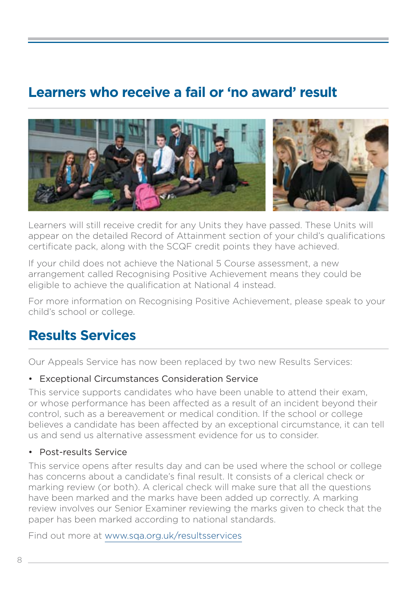## **Learners who receive a fail or 'no award' result**



Learners will still receive credit for any Units they have passed. These Units will appear on the detailed Record of Attainment section of your child's qualifications certificate pack, along with the SCQF credit points they have achieved.

If your child does not achieve the National 5 Course assessment, a new arrangement called Recognising Positive Achievement means they could be eligible to achieve the qualification at National 4 instead.

For more information on Recognising Positive Achievement, please speak to your child's school or college.

## **Results Services**

Our Appeals Service has now been replaced by two new Results Services:

#### • Exceptional Circumstances Consideration Service

This service supports candidates who have been unable to attend their exam, or whose performance has been affected as a result of an incident beyond their control, such as a bereavement or medical condition. If the school or college believes a candidate has been affected by an exceptional circumstance, it can tell us and send us alternative assessment evidence for us to consider.

#### • Post-results Service

This service opens after results day and can be used where the school or college has concerns about a candidate's final result. It consists of a clerical check or marking review (or both). A clerical check will make sure that all the questions have been marked and the marks have been added up correctly. A marking review involves our Senior Examiner reviewing the marks given to check that the paper has been marked according to national standards.

Find out more at www.sqa.org.uk/resultsservices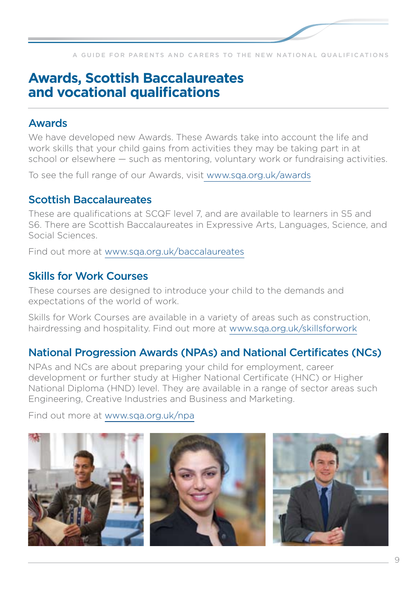

## **Awards, Scottish Baccalaureates and vocational qualifications**

### Awards

We have developed new Awards. These Awards take into account the life and work skills that your child gains from activities they may be taking part in at school or elsewhere — such as mentoring, voluntary work or fundraising activities.

To see the full range of our Awards, visit www.sqa.org.uk/awards

### Scottish Baccalaureates

These are qualifications at SCQF level 7, and are available to learners in S5 and S6. There are Scottish Baccalaureates in Expressive Arts, Languages, Science, and Social Sciences.

Find out more at www.sqa.org.uk/baccalaureates

### Skills for Work Courses

These courses are designed to introduce your child to the demands and expectations of the world of work

Skills for Work Courses are available in a variety of areas such as construction, hairdressing and hospitality. Find out more at www.sqa.org.uk/skillsforwork

### National Progression Awards (NPAs) and National Certificates (NCs)

NPAs and NCs are about preparing your child for employment, career development or further study at Higher National Certificate (HNC) or Higher National Diploma (HND) level. They are available in a range of sector areas such Engineering, Creative Industries and Business and Marketing.

Find out more at www.sqa.org.uk/npa

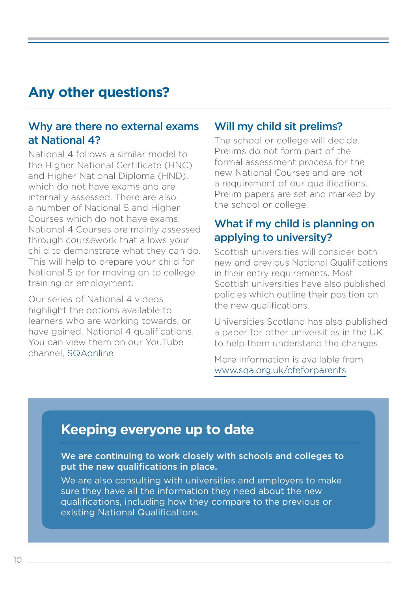## **Any other questions?**

### Why are there no external exams at National 4?

National 4 follows a similar model to the Higher National Certificate (HNC) and Higher National Diploma (HND), which do not have exams and are internally assessed. There are also a number of National 5 and Higher Courses which do not have exams. National 4 Courses are mainly assessed through coursework that allows your child to demonstrate what they can do. This will help to prepare your child for National 5 or for moving on to college, training or employment.

Our series of National 4 videos highlight the options available to learners who are working towards, or have gained, National 4 qualifications. You can view them on our YouTube channel, [SQAonline](https://www.youtube.com/user/SQAonline)

### Will my child sit prelims?

The school or college will decide. Prelims do not form part of the formal assessment process for the new National Courses and are not a requirement of our qualifications. Prelim papers are set and marked by the school or college.

### What if my child is planning on applying to university?

Scottish universities will consider both new and previous National Qualifications in their entry requirements. Most Scottish universities have also published policies which outline their position on the new qualifications.

Universities Scotland has also published a paper for other universities in the UK to help them understand the changes.

More information is available from www.sqa.org.uk/cfeforparents

## **Keeping everyone up to date**

We are continuing to work closely with schools and colleges to put the new qualifications in place.

We are also consulting with universities and employers to make sure they have all the information they need about the new qualifications, including how they compare to the previous or existing National Qualifications.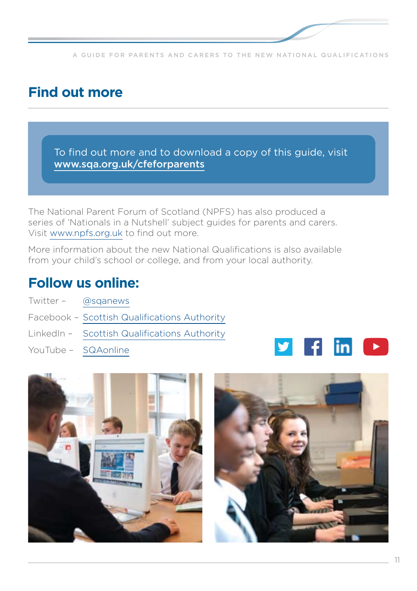## **Find out more**

To find out more and to download a copy of this guide, visit www.sqa.org.uk/cfeforparents

The National Parent Forum of Scotland (NPFS) has also produced a series of 'Nationals in a Nutshell' subject guides for parents and carers. Visit www.npfs.org.uk to find out more.

More information about the new National Qualifications is also available from your child's school or college, and from your local authority.

## **Follow us online:**

- Twitter [@sqanews](https://twitter.com/sqanews)
- Facebook [Scottish Qualifications Authority](http://www.facebook.com/ScottishQualificationsAuthority/parentzone)
- LinkedIn [Scottish Qualifications Authority](https://www.youtube.com/user/SQAonline)
- YouTube [SQAonline](https://www.youtube.com/user/SQAonline)